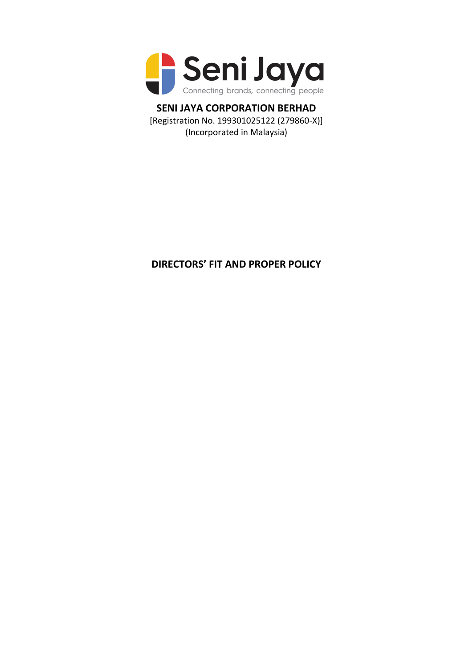

**SENI JAYA CORPORATION BERHAD** [Registration No. 199301025122 (279860-X)] (Incorporated in Malaysia)

# **DIRECTORS' FIT AND PROPER POLICY**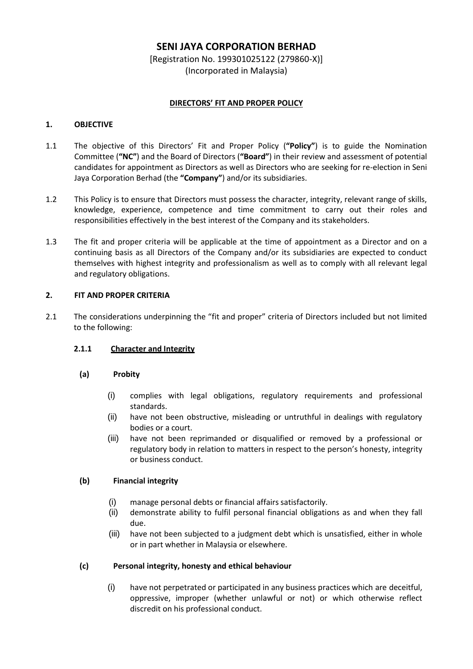## **SENI JAYA CORPORATION BERHAD**

[Registration No. 199301025122 (279860-X)] (Incorporated in Malaysia)

## **DIRECTORS' FIT AND PROPER POLICY**

#### **1. OBJECTIVE**

- 1.1 The objective of this Directors' Fit and Proper Policy (**"Policy"**) is to guide the Nomination Committee (**"NC"**) and the Board of Directors (**"Board"**) in their review and assessment of potential candidates for appointment as Directors as well as Directors who are seeking for re-election in Seni Jaya Corporation Berhad (the **"Company"**) and/or its subsidiaries.
- 1.2 This Policy is to ensure that Directors must possess the character, integrity, relevant range of skills, knowledge, experience, competence and time commitment to carry out their roles and responsibilities effectively in the best interest of the Company and its stakeholders.
- 1.3 The fit and proper criteria will be applicable at the time of appointment as a Director and on a continuing basis as all Directors of the Company and/or its subsidiaries are expected to conduct themselves with highest integrity and professionalism as well as to comply with all relevant legal and regulatory obligations.

## **2. FIT AND PROPER CRITERIA**

2.1 The considerations underpinning the "fit and proper" criteria of Directors included but not limited to the following:

## **2.1.1 Character and Integrity**

#### **(a) Probity**

- (i) complies with legal obligations, regulatory requirements and professional standards.
- (ii) have not been obstructive, misleading or untruthful in dealings with regulatory bodies or a court.
- (iii) have not been reprimanded or disqualified or removed by a professional or regulatory body in relation to matters in respect to the person's honesty, integrity or business conduct.

#### **(b) Financial integrity**

- (i) manage personal debts or financial affairs satisfactorily.
- (ii) demonstrate ability to fulfil personal financial obligations as and when they fall due.
- (iii) have not been subjected to a judgment debt which is unsatisfied, either in whole or in part whether in Malaysia or elsewhere.

## **(c) Personal integrity, honesty and ethical behaviour**

(i) have not perpetrated or participated in any business practices which are deceitful, oppressive, improper (whether unlawful or not) or which otherwise reflect discredit on his professional conduct.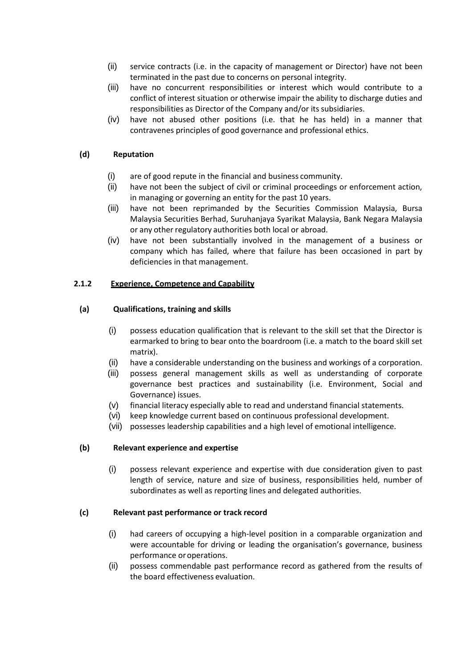- (ii) service contracts (i.e. in the capacity of management or Director) have not been terminated in the past due to concerns on personal integrity.
- (iii) have no concurrent responsibilities or interest which would contribute to a conflict of interest situation or otherwise impair the ability to discharge duties and responsibilities as Director of the Company and/or its subsidiaries.
- (iv) have not abused other positions (i.e. that he has held) in a manner that contravenes principles of good governance and professional ethics.

## **(d) Reputation**

- (i) are of good repute in the financial and business community.
- (ii) have not been the subject of civil or criminal proceedings or enforcement action, in managing or governing an entity for the past 10 years.
- (iii) have not been reprimanded by the Securities Commission Malaysia, Bursa Malaysia Securities Berhad, Suruhanjaya Syarikat Malaysia, Bank Negara Malaysia or any other regulatory authorities both local or abroad.
- (iv) have not been substantially involved in the management of a business or company which has failed, where that failure has been occasioned in part by deficiencies in that management.

## **2.1.2 Experience, Competence and Capability**

## **(a) Qualifications, training and skills**

- (i) possess education qualification that is relevant to the skill set that the Director is earmarked to bring to bear onto the boardroom (i.e. a match to the board skill set matrix).
- (ii) have a considerable understanding on the business and workings of a corporation.
- (iii) possess general management skills as well as understanding of corporate governance best practices and sustainability (i.e. Environment, Social and Governance) issues.
- (v) financial literacy especially able to read and understand financial statements.
- (vi) keep knowledge current based on continuous professional development.
- (vii) possesses leadership capabilities and a high level of emotional intelligence.

#### **(b) Relevant experience and expertise**

(i) possess relevant experience and expertise with due consideration given to past length of service, nature and size of business, responsibilities held, number of subordinates as well as reporting lines and delegated authorities.

#### **(c) Relevant past performance or track record**

- (i) had careers of occupying a high-level position in a comparable organization and were accountable for driving or leading the organisation's governance, business performance oroperations.
- (ii) possess commendable past performance record as gathered from the results of the board effectiveness evaluation.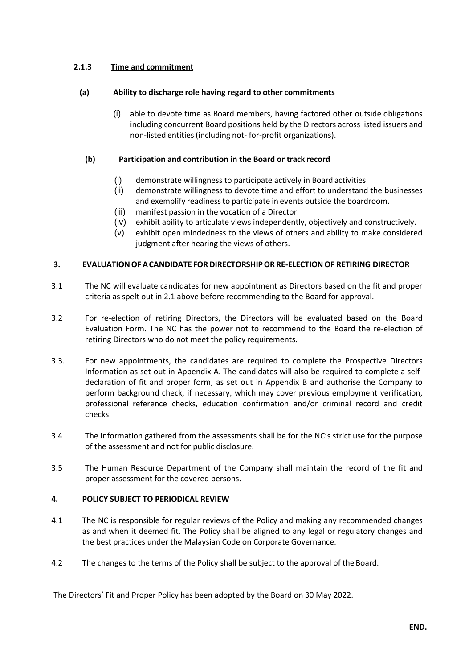## **2.1.3 Time and commitment**

## **(a) Ability to discharge role having regard to other commitments**

(i) able to devote time as Board members, having factored other outside obligations including concurrent Board positions held by the Directors across listed issuers and non-listed entities(including not- for-profit organizations).

## **(b) Participation and contribution in the Board or track record**

- (i) demonstrate willingness to participate actively in Board activities.
- (ii) demonstrate willingness to devote time and effort to understand the businesses and exemplify readinessto participate in events outside the boardroom.
- (iii) manifest passion in the vocation of a Director.
- (iv) exhibit ability to articulate views independently, objectively and constructively.
- (v) exhibit open mindedness to the views of others and ability to make considered judgment after hearing the views of others.

## **3. EVALUATIONOF ACANDIDATE FOR DIRECTORSHIPOR RE-ELECTIONOF RETIRING DIRECTOR**

- 3.1 The NC will evaluate candidates for new appointment as Directors based on the fit and proper criteria as spelt out in 2.1 above before recommending to the Board for approval.
- 3.2 For re-election of retiring Directors, the Directors will be evaluated based on the Board Evaluation Form. The NC has the power not to recommend to the Board the re-election of retiring Directors who do not meet the policy requirements.
- 3.3. For new appointments, the candidates are required to complete the Prospective Directors Information as set out in Appendix A. The candidates will also be required to complete a selfdeclaration of fit and proper form, as set out in Appendix B and authorise the Company to perform background check, if necessary, which may cover previous employment verification, professional reference checks, education confirmation and/or criminal record and credit checks.
- 3.4 The information gathered from the assessments shall be for the NC's strict use for the purpose of the assessment and not for public disclosure.
- 3.5 The Human Resource Department of the Company shall maintain the record of the fit and proper assessment for the covered persons.

## **4. POLICY SUBJECT TO PERIODICAL REVIEW**

- 4.1 The NC is responsible for regular reviews of the Policy and making any recommended changes as and when it deemed fit. The Policy shall be aligned to any legal or regulatory changes and the best practices under the Malaysian Code on Corporate Governance.
- 4.2 The changes to the terms of the Policy shall be subject to the approval of the Board.

The Directors' Fit and Proper Policy has been adopted by the Board on 30 May 2022.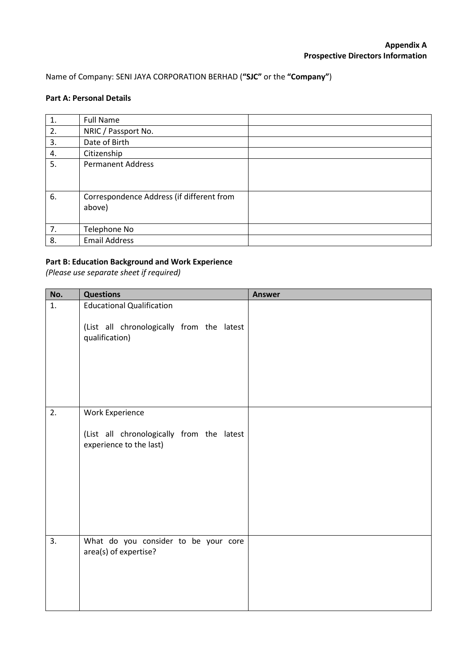## Name of Company: SENI JAYA CORPORATION BERHAD (**"SJC"** or the **"Company"**)

## **Part A: Personal Details**

| 1. | <b>Full Name</b>                          |
|----|-------------------------------------------|
| 2. | NRIC / Passport No.                       |
| 3. | Date of Birth                             |
| 4. | Citizenship                               |
| 5. | <b>Permanent Address</b>                  |
|    |                                           |
|    |                                           |
| 6. | Correspondence Address (if different from |
|    | above)                                    |
|    |                                           |
| 7. | Telephone No                              |
| 8. | <b>Email Address</b>                      |

## **Part B: Education Background and Work Experience**

*(Please use separate sheet if required)*

| No. | <b>Questions</b>                                                     | <b>Answer</b> |
|-----|----------------------------------------------------------------------|---------------|
| 1.  | <b>Educational Qualification</b>                                     |               |
|     | (List all chronologically from the latest<br>qualification)          |               |
| 2.  | <b>Work Experience</b>                                               |               |
|     |                                                                      |               |
|     | (List all chronologically from the latest<br>experience to the last) |               |
| 3.  | What do you consider to be your core<br>area(s) of expertise?        |               |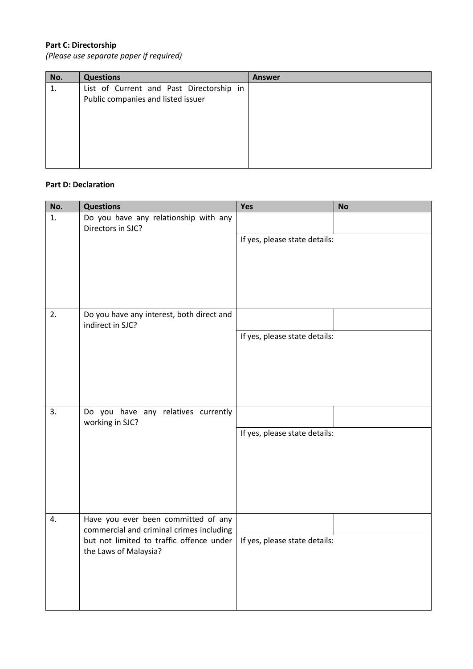## **Part C: Directorship**

*(Please use separate paper if required)*

| No. | <b>Questions</b>                         | <b>Answer</b> |
|-----|------------------------------------------|---------------|
| 1.  | List of Current and Past Directorship in |               |
|     | Public companies and listed issuer       |               |
|     |                                          |               |
|     |                                          |               |
|     |                                          |               |
|     |                                          |               |
|     |                                          |               |
|     |                                          |               |

## **Part D: Declaration**

| No. | <b>Questions</b>                                                                                              | Yes                           | <b>No</b> |
|-----|---------------------------------------------------------------------------------------------------------------|-------------------------------|-----------|
| 1.  | Do you have any relationship with any<br>Directors in SJC?                                                    |                               |           |
|     |                                                                                                               | If yes, please state details: |           |
|     |                                                                                                               |                               |           |
|     |                                                                                                               |                               |           |
| 2.  | Do you have any interest, both direct and<br>indirect in SJC?                                                 |                               |           |
|     |                                                                                                               | If yes, please state details: |           |
|     |                                                                                                               |                               |           |
|     |                                                                                                               |                               |           |
| 3.  | Do you have any relatives currently<br>working in SJC?                                                        |                               |           |
|     |                                                                                                               | If yes, please state details: |           |
|     |                                                                                                               |                               |           |
|     |                                                                                                               |                               |           |
| 4.  | Have you ever been committed of any                                                                           |                               |           |
|     | commercial and criminal crimes including<br>but not limited to traffic offence under<br>the Laws of Malaysia? | If yes, please state details: |           |
|     |                                                                                                               |                               |           |
|     |                                                                                                               |                               |           |
|     |                                                                                                               |                               |           |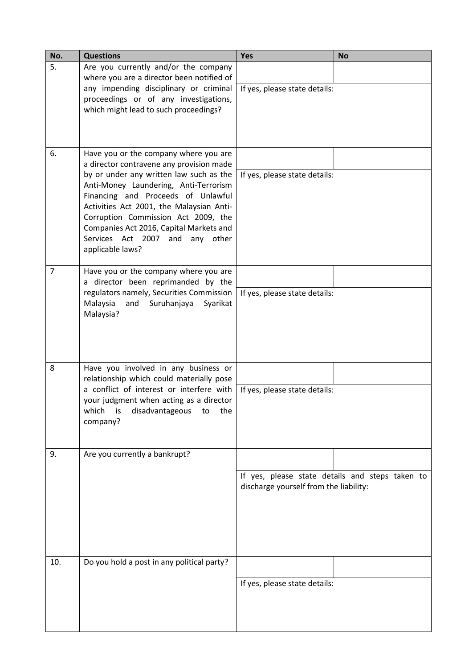| No.            | <b>Questions</b>                                                                                                                                                                                                                                                                                                                                        | Yes                                                                                       | <b>No</b> |
|----------------|---------------------------------------------------------------------------------------------------------------------------------------------------------------------------------------------------------------------------------------------------------------------------------------------------------------------------------------------------------|-------------------------------------------------------------------------------------------|-----------|
| 5.             | Are you currently and/or the company<br>where you are a director been notified of<br>any impending disciplinary or criminal<br>proceedings or of any investigations,<br>which might lead to such proceedings?                                                                                                                                           |                                                                                           |           |
|                |                                                                                                                                                                                                                                                                                                                                                         | If yes, please state details:                                                             |           |
| 6.             | Have you or the company where you are                                                                                                                                                                                                                                                                                                                   |                                                                                           |           |
|                | a director contravene any provision made<br>by or under any written law such as the<br>Anti-Money Laundering, Anti-Terrorism<br>Financing and Proceeds of Unlawful<br>Activities Act 2001, the Malaysian Anti-<br>Corruption Commission Act 2009, the<br>Companies Act 2016, Capital Markets and<br>Services Act 2007 and any other<br>applicable laws? | If yes, please state details:                                                             |           |
| $\overline{7}$ | Have you or the company where you are                                                                                                                                                                                                                                                                                                                   |                                                                                           |           |
|                | a director been reprimanded by the<br>regulators namely, Securities Commission<br>Malaysia<br>Suruhanjaya<br>and<br>Syarikat<br>Malaysia?                                                                                                                                                                                                               | If yes, please state details:                                                             |           |
| 8              | Have you involved in any business or<br>relationship which could materially pose                                                                                                                                                                                                                                                                        |                                                                                           |           |
|                | a conflict of interest or interfere with<br>your judgment when acting as a director<br>which<br>disadvantageous<br>the<br>is<br>to<br>company?                                                                                                                                                                                                          | If yes, please state details:                                                             |           |
| 9.             | Are you currently a bankrupt?                                                                                                                                                                                                                                                                                                                           |                                                                                           |           |
|                |                                                                                                                                                                                                                                                                                                                                                         | If yes, please state details and steps taken to<br>discharge yourself from the liability: |           |
| 10.            | Do you hold a post in any political party?                                                                                                                                                                                                                                                                                                              |                                                                                           |           |
|                |                                                                                                                                                                                                                                                                                                                                                         | If yes, please state details:                                                             |           |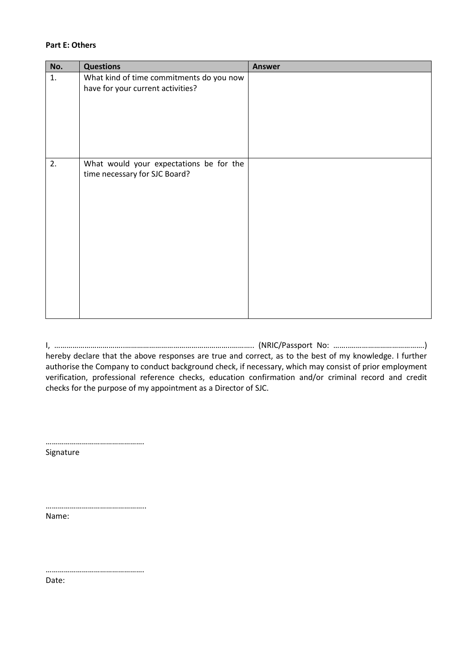#### **Part E: Others**

| No. | <b>Questions</b>                         | <b>Answer</b> |
|-----|------------------------------------------|---------------|
| 1.  | What kind of time commitments do you now |               |
|     | have for your current activities?        |               |
|     |                                          |               |
|     |                                          |               |
|     |                                          |               |
|     |                                          |               |
|     |                                          |               |
| 2.  | What would your expectations be for the  |               |
|     | time necessary for SJC Board?            |               |
|     |                                          |               |
|     |                                          |               |
|     |                                          |               |
|     |                                          |               |
|     |                                          |               |
|     |                                          |               |
|     |                                          |               |
|     |                                          |               |
|     |                                          |               |
|     |                                          |               |
|     |                                          |               |
|     |                                          |               |

I, ……………………………..……………………………………………..……….. (NRIC/Passport No: ……..……………………………….) hereby declare that the above responses are true and correct, as to the best of my knowledge. I further authorise the Company to conduct background check, if necessary, which may consist of prior employment verification, professional reference checks, education confirmation and/or criminal record and credit checks for the purpose of my appointment as a Director of SJC.

………………………………………….

Signature

………………………………………….. Name:

………………………………………….

Date: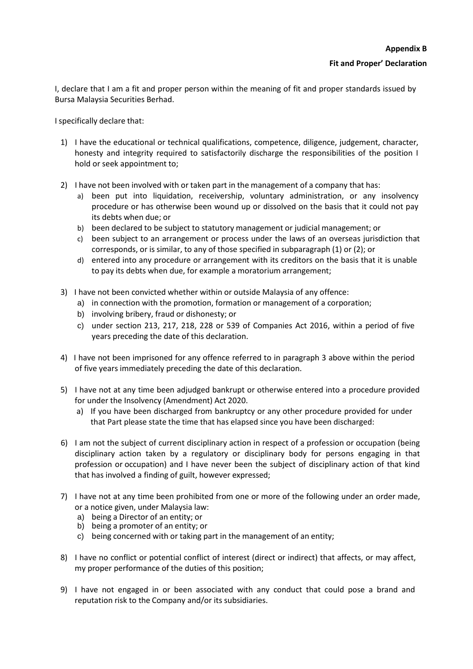I, declare that I am a fit and proper person within the meaning of fit and proper standards issued by Bursa Malaysia Securities Berhad.

Ispecifically declare that:

- 1) I have the educational or technical qualifications, competence, diligence, judgement, character, honesty and integrity required to satisfactorily discharge the responsibilities of the position I hold or seek appointment to;
- 2) I have not been involved with or taken part in the management of a company that has:
	- a) been put into liquidation, receivership, voluntary administration, or any insolvency procedure or has otherwise been wound up or dissolved on the basis that it could not pay its debts when due; or
	- b) been declared to be subject to statutory management or judicial management; or
	- c) been subject to an arrangement or process under the laws of an overseas jurisdiction that corresponds, or is similar, to any of those specified in subparagraph (1) or (2); or
	- d) entered into any procedure or arrangement with its creditors on the basis that it is unable to pay its debts when due, for example a moratorium arrangement;
- 3) I have not been convicted whether within or outside Malaysia of any offence:
	- a) in connection with the promotion, formation or management of a corporation;
	- b) involving bribery, fraud or dishonesty; or
	- c) under section 213, 217, 218, 228 or 539 of Companies Act 2016, within a period of five years preceding the date of this declaration.
- 4) I have not been imprisoned for any offence referred to in paragraph 3 above within the period of five years immediately preceding the date of this declaration.
- 5) I have not at any time been adjudged bankrupt or otherwise entered into a procedure provided for under the Insolvency (Amendment) Act 2020.
	- a) If you have been discharged from bankruptcy or any other procedure provided for under that Part please state the time that has elapsed since you have been discharged:
- 6) I am not the subject of current disciplinary action in respect of a profession or occupation (being disciplinary action taken by a regulatory or disciplinary body for persons engaging in that profession or occupation) and I have never been the subject of disciplinary action of that kind that has involved a finding of guilt, however expressed;
- 7) I have not at any time been prohibited from one or more of the following under an order made, or a notice given, under Malaysia law:
	- a) being a Director of an entity; or
	- b) being a promoter of an entity; or
	- c) being concerned with or taking part in the management of an entity;
- 8) I have no conflict or potential conflict of interest (direct or indirect) that affects, or may affect, my proper performance of the duties of this position;
- 9) I have not engaged in or been associated with any conduct that could pose a brand and reputation risk to the Company and/or its subsidiaries.